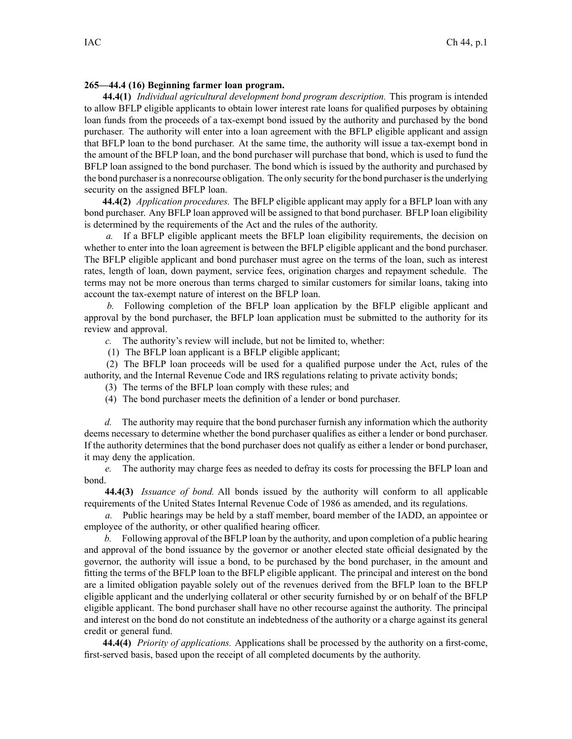## **265—44.4 (16) Beginning farmer loan program.**

**44.4(1)** *Individual agricultural development bond program description.* This program is intended to allow BFLP eligible applicants to obtain lower interest rate loans for qualified purposes by obtaining loan funds from the proceeds of <sup>a</sup> tax-exempt bond issued by the authority and purchased by the bond purchaser. The authority will enter into <sup>a</sup> loan agreemen<sup>t</sup> with the BFLP eligible applicant and assign that BFLP loan to the bond purchaser. At the same time, the authority will issue <sup>a</sup> tax-exempt bond in the amount of the BFLP loan, and the bond purchaser will purchase that bond, which is used to fund the BFLP loan assigned to the bond purchaser. The bond which is issued by the authority and purchased by the bond purchaser is a nonrecourse obligation. The only security for the bond purchaser is the underlying security on the assigned BFLP loan.

**44.4(2)** *Application procedures.* The BFLP eligible applicant may apply for <sup>a</sup> BFLP loan with any bond purchaser. Any BFLP loan approved will be assigned to that bond purchaser. BFLP loan eligibility is determined by the requirements of the Act and the rules of the authority.

*a.* If <sup>a</sup> BFLP eligible applicant meets the BFLP loan eligibility requirements, the decision on whether to enter into the loan agreemen<sup>t</sup> is between the BFLP eligible applicant and the bond purchaser. The BFLP eligible applicant and bond purchaser must agree on the terms of the loan, such as interest rates, length of loan, down payment, service fees, origination charges and repaymen<sup>t</sup> schedule. The terms may not be more onerous than terms charged to similar customers for similar loans, taking into account the tax-exempt nature of interest on the BFLP loan.

*b.* Following completion of the BFLP loan application by the BFLP eligible applicant and approval by the bond purchaser, the BFLP loan application must be submitted to the authority for its review and approval.

*c.* The authority's review will include, but not be limited to, whether:

(1) The BFLP loan applicant is <sup>a</sup> BFLP eligible applicant;

(2) The BFLP loan proceeds will be used for <sup>a</sup> qualified purpose under the Act, rules of the authority, and the Internal Revenue Code and IRS regulations relating to private activity bonds;

(3) The terms of the BFLP loan comply with these rules; and

(4) The bond purchaser meets the definition of <sup>a</sup> lender or bond purchaser.

*d.* The authority may require that the bond purchaser furnish any information which the authority deems necessary to determine whether the bond purchaser qualifies as either <sup>a</sup> lender or bond purchaser. If the authority determines that the bond purchaser does not qualify as either <sup>a</sup> lender or bond purchaser, it may deny the application.

*e.* The authority may charge fees as needed to defray its costs for processing the BFLP loan and bond.

**44.4(3)** *Issuance of bond.* All bonds issued by the authority will conform to all applicable requirements of the United States Internal Revenue Code of 1986 as amended, and its regulations.

*a.* Public hearings may be held by <sup>a</sup> staff member, board member of the IADD, an appointee or employee of the authority, or other qualified hearing officer.

*b.* Following approval of the BFLP loan by the authority, and upon completion of <sup>a</sup> public hearing and approval of the bond issuance by the governor or another elected state official designated by the governor, the authority will issue <sup>a</sup> bond, to be purchased by the bond purchaser, in the amount and fitting the terms of the BFLP loan to the BFLP eligible applicant. The principal and interest on the bond are <sup>a</sup> limited obligation payable solely out of the revenues derived from the BFLP loan to the BFLP eligible applicant and the underlying collateral or other security furnished by or on behalf of the BFLP eligible applicant. The bond purchaser shall have no other recourse against the authority. The principal and interest on the bond do not constitute an indebtedness of the authority or <sup>a</sup> charge against its general credit or general fund.

**44.4(4)** *Priority of applications.* Applications shall be processed by the authority on <sup>a</sup> first-come, first-served basis, based upon the receipt of all completed documents by the authority.